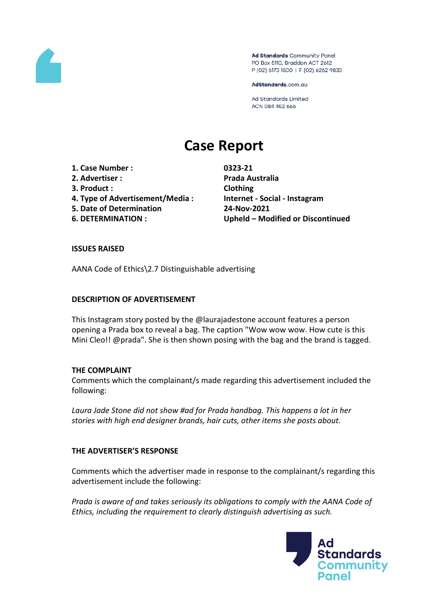

Ad Standards Community Panel PO Box 5110, Braddon ACT 2612 P (02) 6173 1500 | F (02) 6262 9833

AdStandards.com.au

**Ad Standards Limited** ACN 084 452 666

# **Case Report**

- **1. Case Number : 0323-21**
- **2. Advertiser : Prada Australia**
- **3. Product : Clothing**
- **4. Type of Advertisement/Media : Internet - Social - Instagram**
- **5. Date of Determination 24-Nov-2021**
- 

**6. DETERMINATION : Upheld – Modified or Discontinued**

## **ISSUES RAISED**

AANA Code of Ethics\2.7 Distinguishable advertising

#### **DESCRIPTION OF ADVERTISEMENT**

This Instagram story posted by the @laurajadestone account features a person opening a Prada box to reveal a bag. The caption "Wow wow wow. How cute is this Mini Cleo!! @prada". She is then shown posing with the bag and the brand is tagged.

#### **THE COMPLAINT**

Comments which the complainant/s made regarding this advertisement included the following:

*Laura Jade Stone did not show #ad for Prada handbag. This happens a lot in her stories with high end designer brands, hair cuts, other items she posts about.*

# **THE ADVERTISER'S RESPONSE**

Comments which the advertiser made in response to the complainant/s regarding this advertisement include the following:

*Prada is aware of and takes seriously its obligations to comply with the AANA Code of Ethics, including the requirement to clearly distinguish advertising as such.*

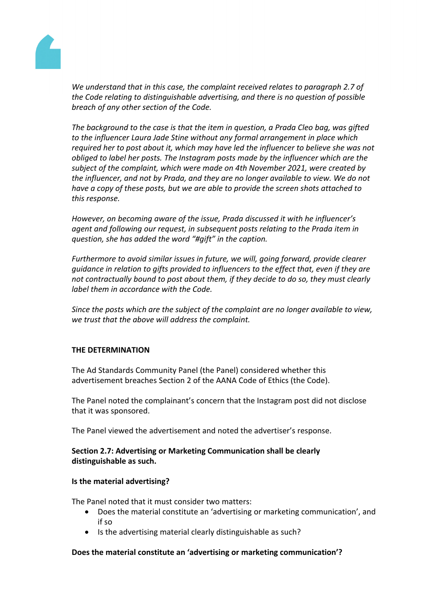

*We understand that in this case, the complaint received relates to paragraph 2.7 of the Code relating to distinguishable advertising, and there is no question of possible breach of any other section of the Code.*

*The background to the case is that the item in question, a Prada Cleo bag, was gifted to the influencer Laura Jade Stine without any formal arrangement in place which required her to post about it, which may have led the influencer to believe she was not obliged to label her posts. The Instagram posts made by the influencer which are the subject of the complaint, which were made on 4th November 2021, were created by the influencer, and not by Prada, and they are no longer available to view. We do not have a copy of these posts, but we are able to provide the screen shots attached to this response.*

*However, on becoming aware of the issue, Prada discussed it with he influencer's agent and following our request, in subsequent posts relating to the Prada item in question, she has added the word "#gift" in the caption.*

*Furthermore to avoid similar issues in future, we will, going forward, provide clearer guidance in relation to gifts provided to influencers to the effect that, even if they are not contractually bound to post about them, if they decide to do so, they must clearly label them in accordance with the Code.*

*Since the posts which are the subject of the complaint are no longer available to view, we trust that the above will address the complaint.*

# **THE DETERMINATION**

The Ad Standards Community Panel (the Panel) considered whether this advertisement breaches Section 2 of the AANA Code of Ethics (the Code).

The Panel noted the complainant's concern that the Instagram post did not disclose that it was sponsored.

The Panel viewed the advertisement and noted the advertiser's response.

## **Section 2.7: Advertising or Marketing Communication shall be clearly distinguishable as such.**

#### **Is the material advertising?**

The Panel noted that it must consider two matters:

- Does the material constitute an 'advertising or marketing communication', and if so
- Is the advertising material clearly distinguishable as such?

#### **Does the material constitute an 'advertising or marketing communication'?**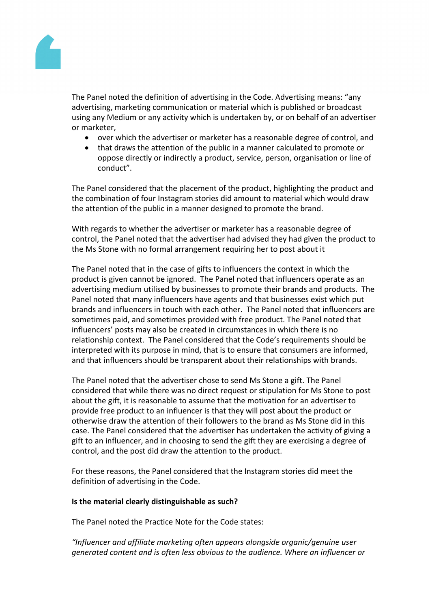

The Panel noted the definition of advertising in the Code. Advertising means: "any advertising, marketing communication or material which is published or broadcast using any Medium or any activity which is undertaken by, or on behalf of an advertiser or marketer,

- over which the advertiser or marketer has a reasonable degree of control, and
- that draws the attention of the public in a manner calculated to promote or oppose directly or indirectly a product, service, person, organisation or line of conduct".

The Panel considered that the placement of the product, highlighting the product and the combination of four Instagram stories did amount to material which would draw the attention of the public in a manner designed to promote the brand.

With regards to whether the advertiser or marketer has a reasonable degree of control, the Panel noted that the advertiser had advised they had given the product to the Ms Stone with no formal arrangement requiring her to post about it

The Panel noted that in the case of gifts to influencers the context in which the product is given cannot be ignored. The Panel noted that influencers operate as an advertising medium utilised by businesses to promote their brands and products. The Panel noted that many influencers have agents and that businesses exist which put brands and influencers in touch with each other. The Panel noted that influencers are sometimes paid, and sometimes provided with free product. The Panel noted that influencers' posts may also be created in circumstances in which there is no relationship context. The Panel considered that the Code's requirements should be interpreted with its purpose in mind, that is to ensure that consumers are informed, and that influencers should be transparent about their relationships with brands.

The Panel noted that the advertiser chose to send Ms Stone a gift. The Panel considered that while there was no direct request or stipulation for Ms Stone to post about the gift, it is reasonable to assume that the motivation for an advertiser to provide free product to an influencer is that they will post about the product or otherwise draw the attention of their followers to the brand as Ms Stone did in this case. The Panel considered that the advertiser has undertaken the activity of giving a gift to an influencer, and in choosing to send the gift they are exercising a degree of control, and the post did draw the attention to the product.

For these reasons, the Panel considered that the Instagram stories did meet the definition of advertising in the Code.

#### **Is the material clearly distinguishable as such?**

The Panel noted the Practice Note for the Code states:

*"Influencer and affiliate marketing often appears alongside organic/genuine user generated content and is often less obvious to the audience. Where an influencer or*